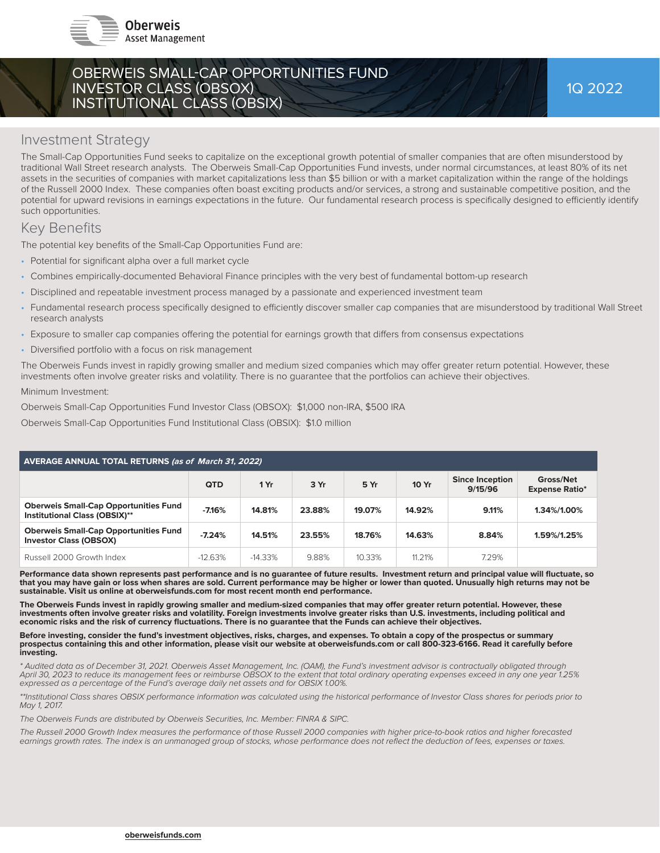

## OBERWEIS SMALL-CAP OPPORTUNITIES FUND INVESTOR CLASS (OBSOX) INSTITUTIONAL CLASS (OBSIX)

### Investment Strategy

The Small-Cap Opportunities Fund seeks to capitalize on the exceptional growth potential of smaller companies that are often misunderstood by traditional Wall Street research analysts. The Oberweis Small-Cap Opportunities Fund invests, under normal circumstances, at least 80% of its net assets in the securities of companies with market capitalizations less than \$5 billion or with a market capitalization within the range of the holdings of the Russell 2000 Index. These companies often boast exciting products and/or services, a strong and sustainable competitive position, and the potential for upward revisions in earnings expectations in the future. Our fundamental research process is specifically designed to efficiently identify such opportunities.

## Key Benefits

The potential key benefits of the Small-Cap Opportunities Fund are:

- Potential for significant alpha over a full market cycle
- Combines empirically-documented Behavioral Finance principles with the very best of fundamental bottom-up research
- Disciplined and repeatable investment process managed by a passionate and experienced investment team
- Fundamental research process specifically designed to efficiently discover smaller cap companies that are misunderstood by traditional Wall Street research analysts
- Exposure to smaller cap companies offering the potential for earnings growth that differs from consensus expectations
- Diversified portfolio with a focus on risk management

The Oberweis Funds invest in rapidly growing smaller and medium sized companies which may offer greater return potential. However, these investments often involve greater risks and volatility. There is no guarantee that the portfolios can achieve their objectives.

Minimum Investment:

Oberweis Small-Cap Opportunities Fund Investor Class (OBSOX): \$1,000 non-IRA, \$500 IRA

Oberweis Small-Cap Opportunities Fund Institutional Class (OBSIX): \$1.0 million

| <b>AVERAGE ANNUAL TOTAL RETURNS (as of March 31, 2022)</b>                    |            |           |        |        |        |                                   |                                    |  |  |
|-------------------------------------------------------------------------------|------------|-----------|--------|--------|--------|-----------------------------------|------------------------------------|--|--|
|                                                                               | <b>QTD</b> | 1 Yr      | 3 Yr   | 5 Yr   | 10 Yr  | <b>Since Inception</b><br>9/15/96 | Gross/Net<br><b>Expense Ratio*</b> |  |  |
| <b>Oberweis Small-Cap Opportunities Fund</b><br>Institutional Class (OBSIX)** | $-7.16%$   | 14.81%    | 23.88% | 19.07% | 14.92% | 9.11%                             | 1.34%/1.00%                        |  |  |
| <b>Oberweis Small-Cap Opportunities Fund</b><br><b>Investor Class (OBSOX)</b> | $-7.24%$   | 14.51%    | 23.55% | 18.76% | 14.63% | 8.84%                             | 1.59%/1.25%                        |  |  |
| Russell 2000 Growth Index                                                     | $-12.63%$  | $-14.33%$ | 9.88%  | 10.33% | 11.21% | 7.29%                             |                                    |  |  |

Performance data shown represents past performance and is no guarantee of future results. Investment return and principal value will fluctuate, so **that you may have gain or loss when shares are sold. Current performance may be higher or lower than quoted. Unusually high returns may not be sustainable. Visit us online at oberweisfunds.com for most recent month end performance.** 

The Oberweis Funds invest in rapidly growing smaller and medium-sized companies that may offer greater return potential. However, these **investments often involve greater risks and volatility. Foreign investments involve greater risks than U.S. investments, including political and economic risks and the risk of currency fl uctuations. There is no guarantee that the Funds can achieve their objectives.**

**Before investing, consider the fund's investment objectives, risks, charges, and expenses. To obtain a copy of the prospectus or summary prospectus containing this and other information, please visit our website at oberweisfunds.com or call 800-323-6166. Read it carefully before investing.** 

*\* Audited data as of December 31, 2021. Oberweis Asset Management, Inc. (OAM), the Fund's investment advisor is contractually obligated through April 30, 2023 to reduce its management fees or reimburse OBSOX to the extent that total ordinary operating expenses exceed in any one year 1.25% expressed as a percentage of the Fund's average daily net assets and for OBSIX 1.00%.*

\*\*Institutional Class shares OBSIX performance information was calculated using the historical performance of Investor Class shares for periods prior to *May 1, 2017.*

*The Oberweis Funds are distributed by Oberweis Securities, Inc. Member: FINRA & SIPC.*

*The Russell 2000 Growth Index measures the performance of those Russell 2000 companies with higher price-to-book ratios and higher forecasted*  earnings growth rates. The index is an unmanaged group of stocks, whose performance does not reflect the deduction of fees, expenses or taxes.